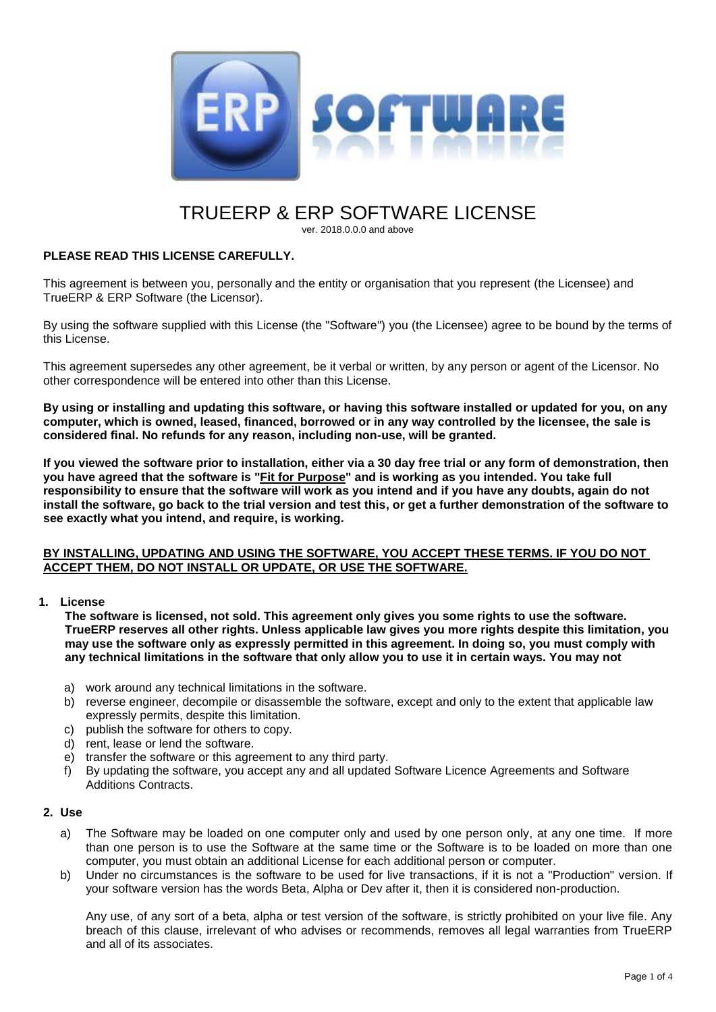

# TRUEERP & ERP SOFTWARE LICENSE

ver. 2018.0.0.0 and above

# **PLEASE READ THIS LICENSE CAREFULLY.**

This agreement is between you, personally and the entity or organisation that you represent (the Licensee) and TrueERP & ERP Software (the Licensor).

By using the software supplied with this License (the "Software") you (the Licensee) agree to be bound by the terms of this License.

This agreement supersedes any other agreement, be it verbal or written, by any person or agent of the Licensor. No other correspondence will be entered into other than this License.

**By using or installing and updating this software, or having this software installed or updated for you, on any computer, which is owned, leased, financed, borrowed or in any way controlled by the licensee, the sale is considered final. No refunds for any reason, including non-use, will be granted.**

**If you viewed the software prior to installation, either via a 30 day free trial or any form of demonstration, then you have agreed that the software is "Fit for Purpose" and is working as you intended. You take full responsibility to ensure that the software will work as you intend and if you have any doubts, again do not install the software, go back to the trial version and test this, or get a further demonstration of the software to see exactly what you intend, and require, is working.**

#### **BY INSTALLING, UPDATING AND USING THE SOFTWARE, YOU ACCEPT THESE TERMS. IF YOU DO NOT ACCEPT THEM, DO NOT INSTALL OR UPDATE, OR USE THE SOFTWARE.**

### **1. License**

**The software is licensed, not sold. This agreement only gives you some rights to use the software. TrueERP reserves all other rights. Unless applicable law gives you more rights despite this limitation, you may use the software only as expressly permitted in this agreement. In doing so, you must comply with any technical limitations in the software that only allow you to use it in certain ways. You may not**

- a) work around any technical limitations in the software.
- b) reverse engineer, decompile or disassemble the software, except and only to the extent that applicable law expressly permits, despite this limitation.
- c) publish the software for others to copy.
- d) rent, lease or lend the software.
- e) transfer the software or this agreement to any third party.
- f) By updating the software, you accept any and all updated Software Licence Agreements and Software Additions Contracts.

## **2. Use**

- a) The Software may be loaded on one computer only and used by one person only, at any one time. If more than one person is to use the Software at the same time or the Software is to be loaded on more than one computer, you must obtain an additional License for each additional person or computer.
- b) Under no circumstances is the software to be used for live transactions, if it is not a "Production" version. If your software version has the words Beta, Alpha or Dev after it, then it is considered non-production.

Any use, of any sort of a beta, alpha or test version of the software, is strictly prohibited on your live file. Any breach of this clause, irrelevant of who advises or recommends, removes all legal warranties from TrueERP and all of its associates.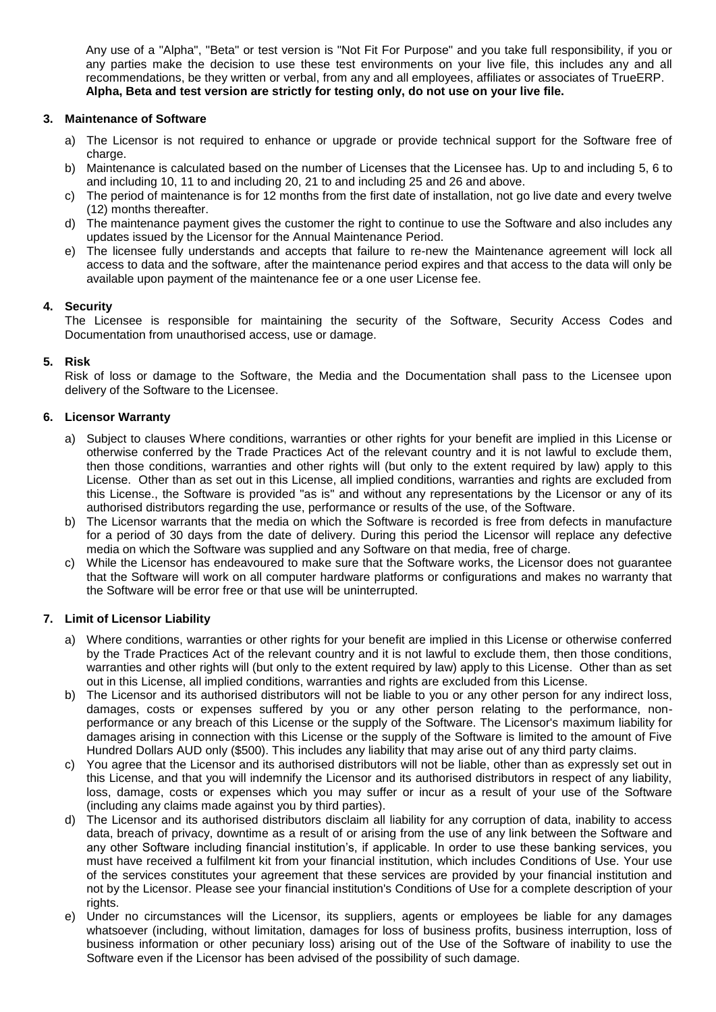Any use of a "Alpha", "Beta" or test version is "Not Fit For Purpose" and you take full responsibility, if you or any parties make the decision to use these test environments on your live file, this includes any and all recommendations, be they written or verbal, from any and all employees, affiliates or associates of TrueERP. **Alpha, Beta and test version are strictly for testing only, do not use on your live file.**

# <span id="page-1-1"></span>**3. Maintenance of Software**

- a) The Licensor is not required to enhance or upgrade or provide technical support for the Software free of charge.
- b) Maintenance is calculated based on the number of Licenses that the Licensee has. Up to and including 5, 6 to and including 10, 11 to and including 20, 21 to and including 25 and 26 and above.
- c) The period of maintenance is for 12 months from the first date of installation, not go live date and every twelve (12) months thereafter.
- d) The maintenance payment gives the customer the right to continue to use the Software and also includes any updates issued by the Licensor for the Annual Maintenance Period.
- e) The licensee fully understands and accepts that failure to re-new the Maintenance agreement will lock all access to data and the software, after the maintenance period expires and that access to the data will only be available upon payment of the maintenance fee or a one user License fee.

## **4. Security**

The Licensee is responsible for maintaining the security of the Software, Security Access Codes and Documentation from unauthorised access, use or damage.

# **5. Risk**

Risk of loss or damage to the Software, the Media and the Documentation shall pass to the Licensee upon delivery of the Software to the Licensee.

## <span id="page-1-2"></span>**6. Licensor Warranty**

- a) Subject to clauses [Where conditions, warranties or other rights for your benefit are implied in this License or](#page-1-0)  [otherwise conferred by the Trade Practices Act of the relevant country and it is not lawful to exclude them,](#page-1-0)  [then those conditions, warranties and other rights will \(but only to the extent required by law\) apply to this](#page-1-0)  [License. Other than as set out in this License, all implied conditions, warranties and rights are excluded from](#page-1-0)  [this License.,](#page-1-0) the Software is provided "as is" and without any representations by the Licensor or any of its authorised distributors regarding the use, performance or results of the use, of the Software.
- b) The Licensor warrants that the media on which the Software is recorded is free from defects in manufacture for a period of 30 days from the date of delivery. During this period the Licensor will replace any defective media on which the Software was supplied and any Software on that media, free of charge.
- c) While the Licensor has endeavoured to make sure that the Software works, the Licensor does not guarantee that the Software will work on all computer hardware platforms or configurations and makes no warranty that the Software will be error free or that use will be uninterrupted.

## <span id="page-1-3"></span><span id="page-1-0"></span>**7. Limit of Licensor Liability**

- a) Where conditions, warranties or other rights for your benefit are implied in this License or otherwise conferred by the Trade Practices Act of the relevant country and it is not lawful to exclude them, then those conditions, warranties and other rights will (but only to the extent required by law) apply to this License. Other than as set out in this License, all implied conditions, warranties and rights are excluded from this License.
- b) The Licensor and its authorised distributors will not be liable to you or any other person for any indirect loss, damages, costs or expenses suffered by you or any other person relating to the performance, nonperformance or any breach of this License or the supply of the Software. The Licensor's maximum liability for damages arising in connection with this License or the supply of the Software is limited to the amount of Five Hundred Dollars AUD only (\$500). This includes any liability that may arise out of any third party claims.
- c) You agree that the Licensor and its authorised distributors will not be liable, other than as expressly set out in this License, and that you will indemnify the Licensor and its authorised distributors in respect of any liability, loss, damage, costs or expenses which you may suffer or incur as a result of your use of the Software (including any claims made against you by third parties).
- d) The Licensor and its authorised distributors disclaim all liability for any corruption of data, inability to access data, breach of privacy, downtime as a result of or arising from the use of any link between the Software and any other Software including financial institution's, if applicable. In order to use these banking services, you must have received a fulfilment kit from your financial institution, which includes Conditions of Use. Your use of the services constitutes your agreement that these services are provided by your financial institution and not by the Licensor. Please see your financial institution's Conditions of Use for a complete description of your rights.
- e) Under no circumstances will the Licensor, its suppliers, agents or employees be liable for any damages whatsoever (including, without limitation, damages for loss of business profits, business interruption, loss of business information or other pecuniary loss) arising out of the Use of the Software of inability to use the Software even if the Licensor has been advised of the possibility of such damage.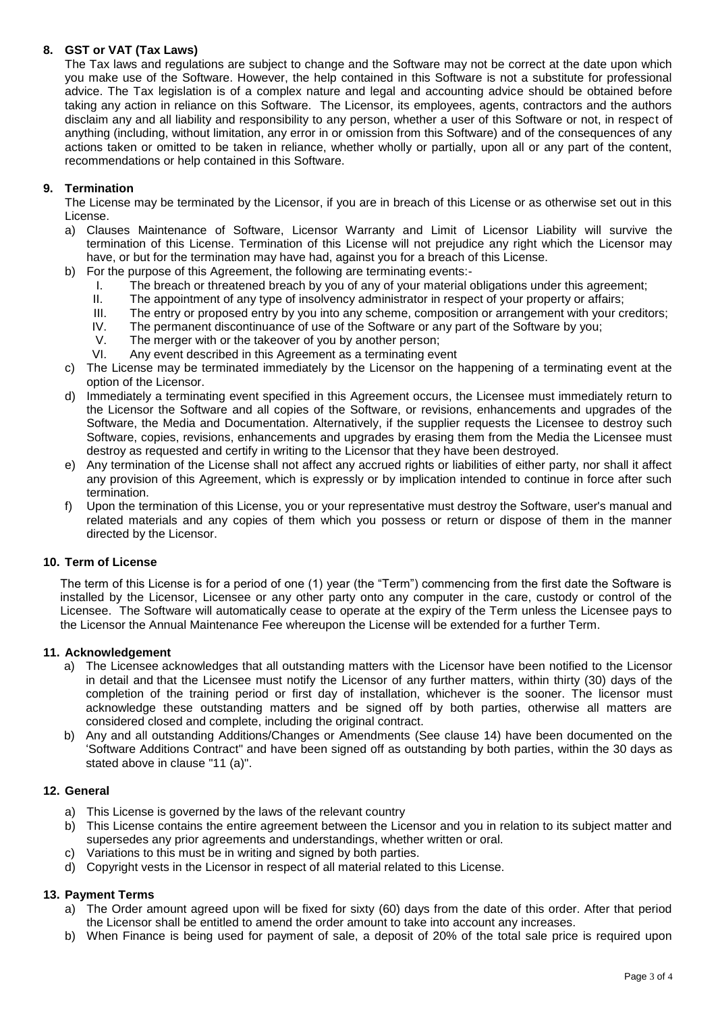# **8. GST or VAT (Tax Laws)**

The Tax laws and regulations are subject to change and the Software may not be correct at the date upon which you make use of the Software. However, the help contained in this Software is not a substitute for professional advice. The Tax legislation is of a complex nature and legal and accounting advice should be obtained before taking any action in reliance on this Software. The Licensor, its employees, agents, contractors and the authors disclaim any and all liability and responsibility to any person, whether a user of this Software or not, in respect of anything (including, without limitation, any error in or omission from this Software) and of the consequences of any actions taken or omitted to be taken in reliance, whether wholly or partially, upon all or any part of the content, recommendations or help contained in this Software.

## **9. Termination**

The License may be terminated by the Licensor, if you are in breach of this License or as otherwise set out in this License.

- a) Clauses [Maintenance of Software,](#page-1-1) [Licensor Warranty](#page-1-2) and [Limit of Licensor Liability](#page-1-3) will survive the termination of this License. Termination of this License will not prejudice any right which the Licensor may have, or but for the termination may have had, against you for a breach of this License.
- b) For the purpose of this Agreement, the following are terminating events:-
	- I. The breach or threatened breach by you of any of your material obligations under this agreement;
	- II. The appointment of any type of insolvency administrator in respect of your property or affairs;
	- III. The entry or proposed entry by you into any scheme, composition or arrangement with your creditors;
	- IV. The permanent discontinuance of use of the Software or any part of the Software by you;
	- V. The merger with or the takeover of you by another person;
	- VI. Any event described in this Agreement as a terminating event
- c) The License may be terminated immediately by the Licensor on the happening of a terminating event at the option of the Licensor.
- d) Immediately a terminating event specified in this Agreement occurs, the Licensee must immediately return to the Licensor the Software and all copies of the Software, or revisions, enhancements and upgrades of the Software, the Media and Documentation. Alternatively, if the supplier requests the Licensee to destroy such Software, copies, revisions, enhancements and upgrades by erasing them from the Media the Licensee must destroy as requested and certify in writing to the Licensor that they have been destroyed.
- e) Any termination of the License shall not affect any accrued rights or liabilities of either party, nor shall it affect any provision of this Agreement, which is expressly or by implication intended to continue in force after such termination.
- f) Upon the termination of this License, you or your representative must destroy the Software, user's manual and related materials and any copies of them which you possess or return or dispose of them in the manner directed by the Licensor.

## **10. Term of License**

The term of this License is for a period of one (1) year (the "Term") commencing from the first date the Software is installed by the Licensor, Licensee or any other party onto any computer in the care, custody or control of the Licensee. The Software will automatically cease to operate at the expiry of the Term unless the Licensee pays to the Licensor the Annual Maintenance Fee whereupon the License will be extended for a further Term.

## **11. Acknowledgement**

- a) The Licensee acknowledges that all outstanding matters with the Licensor have been notified to the Licensor in detail and that the Licensee must notify the Licensor of any further matters, within thirty (30) days of the completion of the training period or first day of installation, whichever is the sooner. The licensor must acknowledge these outstanding matters and be signed off by both parties, otherwise all matters are considered closed and complete, including the original contract.
- b) Any and all outstanding Additions/Changes or Amendments (See clause 14) have been documented on the 'Software Additions Contract" and have been signed off as outstanding by both parties, within the 30 days as stated above in clause "11 (a)".

### **12. General**

- a) This License is governed by the laws of the relevant country
- b) This License contains the entire agreement between the Licensor and you in relation to its subject matter and supersedes any prior agreements and understandings, whether written or oral.
- c) Variations to this must be in writing and signed by both parties.
- d) Copyright vests in the Licensor in respect of all material related to this License.

## **13. Payment Terms**

- a) The Order amount agreed upon will be fixed for sixty (60) days from the date of this order. After that period the Licensor shall be entitled to amend the order amount to take into account any increases.
- b) When Finance is being used for payment of sale, a deposit of 20% of the total sale price is required upon